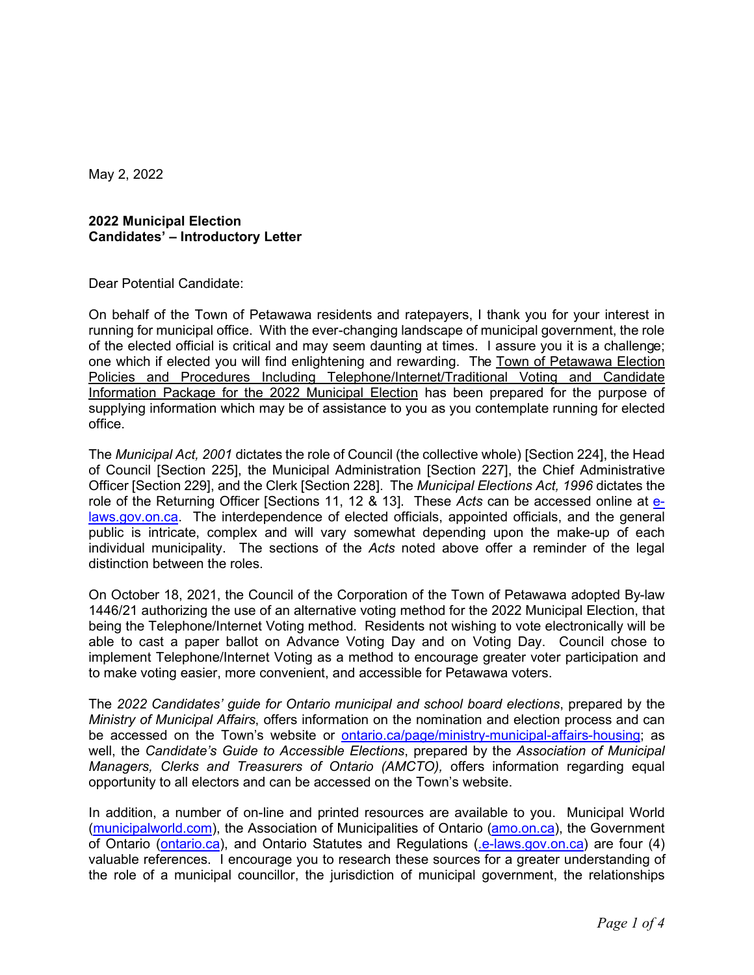May 2, 2022

## **2022 Municipal Election Candidates' – Introductory Letter**

Dear Potential Candidate:

On behalf of the Town of Petawawa residents and ratepayers, I thank you for your interest in running for municipal office. With the ever-changing landscape of municipal government, the role of the elected official is critical and may seem daunting at times. I assure you it is a challenge; one which if elected you will find enlightening and rewarding. The Town of Petawawa Election Policies and Procedures Including Telephone/Internet/Traditional Voting and Candidate Information Package for the 2022 Municipal Election has been prepared for the purpose of supplying information which may be of assistance to you as you contemplate running for elected office.

The *Municipal Act, 2001* dictates the role of Council (the collective whole) [Section 224], the Head of Council [Section 225], the Municipal Administration [Section 227], the Chief Administrative Officer [Section 229], and the Clerk [Section 228]. The *Municipal Elections Act, 1996* dictates the role of the Returning Officer [Sections 11, 12 & 13]. These *Acts* can be accessed online at [e](http://www.e-laws.gov.on.ca/)[laws.gov.on.ca.](http://www.e-laws.gov.on.ca/) The interdependence of elected officials, appointed officials, and the general public is intricate, complex and will vary somewhat depending upon the make-up of each individual municipality. The sections of the *Acts* noted above offer a reminder of the legal distinction between the roles.

On October 18, 2021, the Council of the Corporation of the Town of Petawawa adopted By-law 1446/21 authorizing the use of an alternative voting method for the 2022 Municipal Election, that being the Telephone/Internet Voting method. Residents not wishing to vote electronically will be able to cast a paper ballot on Advance Voting Day and on Voting Day. Council chose to implement Telephone/Internet Voting as a method to encourage greater voter participation and to make voting easier, more convenient, and accessible for Petawawa voters.

The *2022 Candidates' guide for Ontario municipal and school board elections*, prepared by the *Ministry of Municipal Affairs*, offers information on the nomination and election process and can be accessed on the Town's website or [ontario.ca/page/ministry-municipal-affairs-housing](https://www.ontario.ca/page/ministry-municipal-affairs-housing); as well, the *Candidate's Guide to Accessible Elections*, prepared by the *Association of Municipal Managers, Clerks and Treasurers of Ontario (AMCTO),* offers information regarding equal opportunity to all electors and can be accessed on the Town's website.

In addition, a number of on-line and printed resources are available to you. Municipal World ([municipalworld.com](http://www.municipalworld.com/)), the Association of Municipalities of Ontario [\(amo.on.ca](http://www.amo.on.ca/)), the Government of Ontario [\(ontario.ca\)](http://www.ontario.ca/), and Ontario Statutes and Regulations [\(.e-laws.gov.on.ca](http://www.e-laws.gov.on.ca/)) are four (4) valuable references. I encourage you to research these sources for a greater understanding of the role of a municipal councillor, the jurisdiction of municipal government, the relationships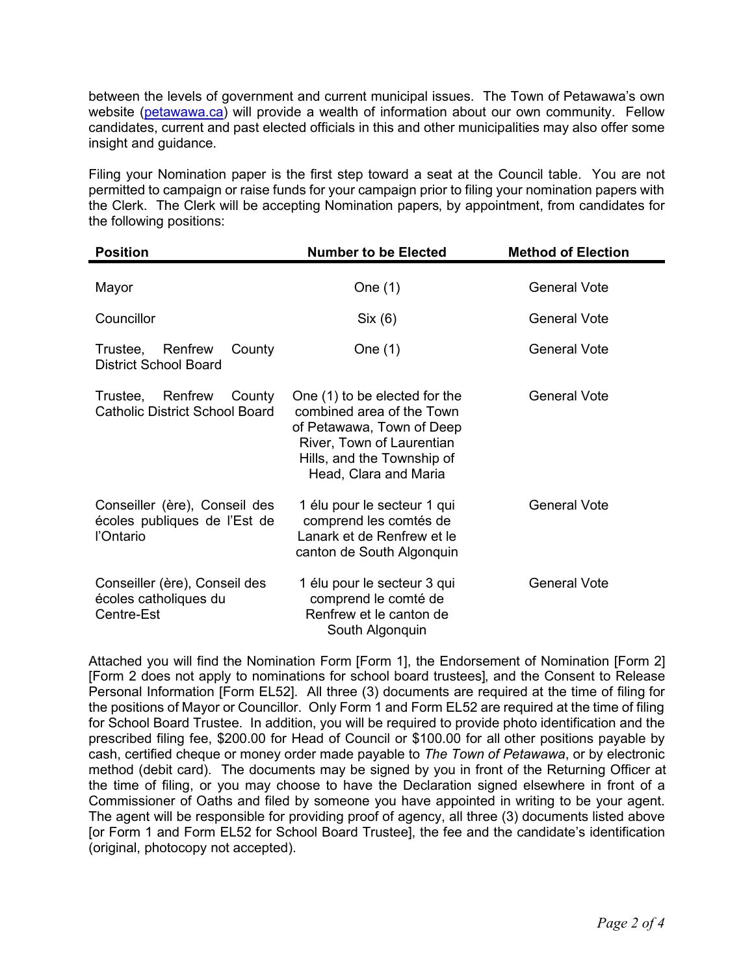between the levels of government and current municipal issues. The Town of Petawawa's own website [\(petawawa.ca](http://www.petawawa.ca/)) will provide a wealth of information about our own community. Fellow candidates, current and past elected officials in this and other municipalities may also offer some insight and guidance.

Filing your Nomination paper is the first step toward a seat at the Council table. You are not permitted to campaign or raise funds for your campaign prior to filing your nomination papers with the Clerk. The Clerk will be accepting Nomination papers, by appointment, from candidates for the following positions:

| <b>Position</b>                                                            | <b>Number to be Elected</b>                                                                                                                                                 | <b>Method of Election</b> |
|----------------------------------------------------------------------------|-----------------------------------------------------------------------------------------------------------------------------------------------------------------------------|---------------------------|
| Mayor                                                                      | One $(1)$                                                                                                                                                                   | <b>General Vote</b>       |
| Councillor                                                                 | Six (6)                                                                                                                                                                     | <b>General Vote</b>       |
| Renfrew<br>Trustee,<br>County<br><b>District School Board</b>              | One $(1)$                                                                                                                                                                   | General Vote              |
| Renfrew<br>Trustee.<br>County<br><b>Catholic District School Board</b>     | One (1) to be elected for the<br>combined area of the Town<br>of Petawawa, Town of Deep<br>River, Town of Laurentian<br>Hills, and the Township of<br>Head, Clara and Maria | <b>General Vote</b>       |
| Conseiller (ère), Conseil des<br>écoles publiques de l'Est de<br>l'Ontario | 1 élu pour le secteur 1 qui<br>comprend les comtés de<br>Lanark et de Renfrew et le<br>canton de South Algonquin                                                            | <b>General Vote</b>       |
| Conseiller (ère), Conseil des<br>écoles catholiques du<br>Centre-Est       | 1 élu pour le secteur 3 qui<br>comprend le comté de<br>Renfrew et le canton de<br>South Algonquin                                                                           | <b>General Vote</b>       |

Attached you will find the Nomination Form [Form 1], the Endorsement of Nomination [Form 2] [Form 2 does not apply to nominations for school board trustees], and the Consent to Release Personal Information [Form EL52]. All three (3) documents are required at the time of filing for the positions of Mayor or Councillor. Only Form 1 and Form EL52 are required at the time of filing for School Board Trustee. In addition, you will be required to provide photo identification and the prescribed filing fee, \$200.00 for Head of Council or \$100.00 for all other positions payable by cash, certified cheque or money order made payable to *The Town of Petawawa*, or by electronic method (debit card). The documents may be signed by you in front of the Returning Officer at the time of filing, or you may choose to have the Declaration signed elsewhere in front of a Commissioner of Oaths and filed by someone you have appointed in writing to be your agent. The agent will be responsible for providing proof of agency, all three (3) documents listed above [or Form 1 and Form EL52 for School Board Trustee], the fee and the candidate's identification (original, photocopy not accepted).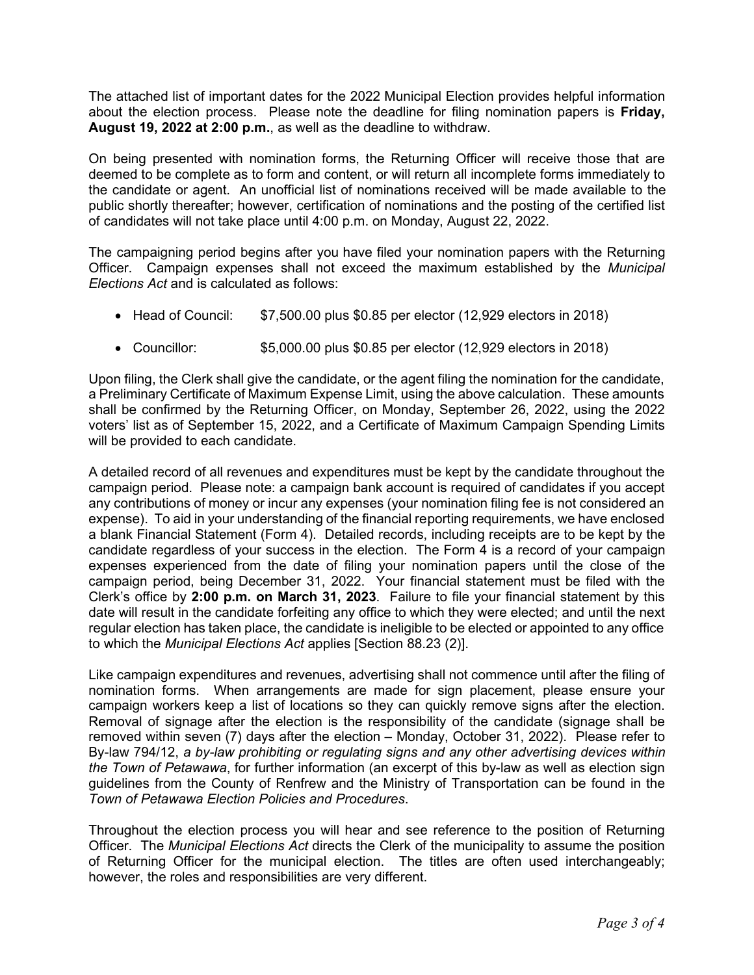The attached list of important dates for the 2022 Municipal Election provides helpful information about the election process. Please note the deadline for filing nomination papers is **Friday, August 19, 2022 at 2:00 p.m.**, as well as the deadline to withdraw.

On being presented with nomination forms, the Returning Officer will receive those that are deemed to be complete as to form and content, or will return all incomplete forms immediately to the candidate or agent. An unofficial list of nominations received will be made available to the public shortly thereafter; however, certification of nominations and the posting of the certified list of candidates will not take place until 4:00 p.m. on Monday, August 22, 2022.

The campaigning period begins after you have filed your nomination papers with the Returning Officer. Campaign expenses shall not exceed the maximum established by the *Municipal Elections Act* and is calculated as follows:

- · Head of Council: \$7,500.00 plus \$0.85 per elector (12,929 electors in 2018)
- · Councillor: \$5,000.00 plus \$0.85 per elector (12,929 electors in 2018)

Upon filing, the Clerk shall give the candidate, or the agent filing the nomination for the candidate, a Preliminary Certificate of Maximum Expense Limit, using the above calculation. These amounts shall be confirmed by the Returning Officer, on Monday, September 26, 2022, using the 2022 voters' list as of September 15, 2022, and a Certificate of Maximum Campaign Spending Limits will be provided to each candidate.

A detailed record of all revenues and expenditures must be kept by the candidate throughout the campaign period. Please note: a campaign bank account is required of candidates if you accept any contributions of money or incur any expenses (your nomination filing fee is not considered an expense). To aid in your understanding of the financial reporting requirements, we have enclosed a blank Financial Statement (Form 4). Detailed records, including receipts are to be kept by the candidate regardless of your success in the election. The Form 4 is a record of your campaign expenses experienced from the date of filing your nomination papers until the close of the campaign period, being December 31, 2022. Your financial statement must be filed with the Clerk's office by **2:00 p.m. on March 31, 2023**. Failure to file your financial statement by this date will result in the candidate forfeiting any office to which they were elected; and until the next regular election has taken place, the candidate is ineligible to be elected or appointed to any office to which the *Municipal Elections Act* applies [Section 88.23 (2)].

Like campaign expenditures and revenues, advertising shall not commence until after the filing of nomination forms. When arrangements are made for sign placement, please ensure your campaign workers keep a list of locations so they can quickly remove signs after the election. Removal of signage after the election is the responsibility of the candidate (signage shall be removed within seven (7) days after the election – Monday, October 31, 2022). Please refer to By-law 794/12, *a by-law prohibiting or regulating signs and any other advertising devices within the Town of Petawawa*, for further information (an excerpt of this by-law as well as election sign guidelines from the County of Renfrew and the Ministry of Transportation can be found in the *Town of Petawawa Election Policies and Procedures*.

Throughout the election process you will hear and see reference to the position of Returning Officer. The *Municipal Elections Act* directs the Clerk of the municipality to assume the position of Returning Officer for the municipal election. The titles are often used interchangeably; however, the roles and responsibilities are very different.